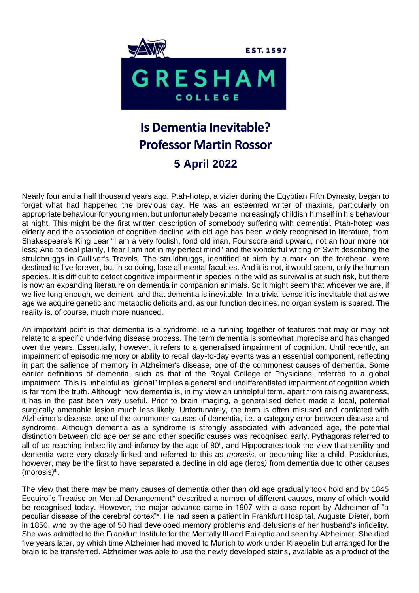

## **Is Dementia Inevitable? Professor Martin Rossor 5 April 2022**

Nearly four and a half thousand years ago, Ptah-hotep, a vizier during the Egyptian Fifth Dynasty, began to forget what had happened the previous day. He was an esteemed writer of maxims, particularly on appropriate behaviour for young men, but unfortunately became increasingly childish himself in his behaviour at night. This might be the first written description of somebody suffering with dementia<sup>i</sup>. Ptah-hotep was elderly and the association of cognitive decline with old age has been widely recognised in literature, from Shakespeare's King Lear "I am a very foolish, fond old man, Fourscore and upward, not an hour more nor less; And to deal plainly, I fear I am not in my perfect mind" and the wonderful writing of Swift describing the struldbruggs in Gulliver's Travels. The struldbruggs, identified at birth by a mark on the forehead, were destined to live forever, but in so doing, lose all mental faculties. And it is not, it would seem, only the human species. It is difficult to detect cognitive impairment in species in the wild as survival is at such risk, but there is now an expanding literature on dementia in companion animals. So it might seem that whoever we are, if we live long enough, we dement, and that dementia is inevitable. In a trivial sense it is inevitable that as we age we acquire genetic and metabolic deficits and, as our function declines, no organ system is spared. The reality is, of course, much more nuanced.

An important point is that dementia is a syndrome, ie a running together of features that may or may not relate to a specific underlying disease process. The term dementia is somewhat imprecise and has changed over the years. Essentially, however, it refers to a generalised impairment of cognition. Until recently, an impairment of episodic memory or ability to recall day-to-day events was an essential component, reflecting in part the salience of memory in Alzheimer's disease, one of the commonest causes of dementia. Some earlier definitions of dementia, such as that of the Royal College of Physicians, referred to a global impairment. This is unhelpful as "global" implies a general and undifferentiated impairment of cognition which is far from the truth. Although now dementia is, in my view an unhelpful term, apart from raising awareness, it has in the past been very useful. Prior to brain imaging, a generalised deficit made a local, potential surgically amenable lesion much less likely. Unfortunately, the term is often misused and conflated with Alzheimer's disease, one of the commoner causes of dementia, i.e. a category error between disease and syndrome. Although dementia as a syndrome is strongly associated with advanced age, the potential distinction between old age *per se* and other specific causes was recognised early. Pythagoras referred to all of us reaching imbecility and infancy by the age of 80<sup>ii</sup>, and Hippocrates took the view that senility and dementia were very closely linked and referred to this as *morosis*, or becoming like a child. Posidonius, however, may be the first to have separated a decline in old age (leros*)* from dementia due to other causes (morosis)<sup>iii</sup>.

The view that there may be many causes of dementia other than old age gradually took hold and by 1845 Esquirol's Treatise on Mental Derangement<sup>iv</sup> described a number of different causes, many of which would be recognised today. However, the major advance came in 1907 with a case report by Alzheimer of "a peculiar disease of the cerebral cortex"<sup>v</sup>. He had seen a patient in Frankfurt Hospital, Auguste Dieter, born in 1850, who by the age of 50 had developed memory problems and delusions of her husband's infidelity. She was admitted to the Frankfurt Institute for the Mentally Ill and Epileptic and seen by Alzheimer. She died five years later, by which time Alzheimer had moved to Munich to work under Kraepelin but arranged for the brain to be transferred. Alzheimer was able to use the newly developed stains, available as a product of the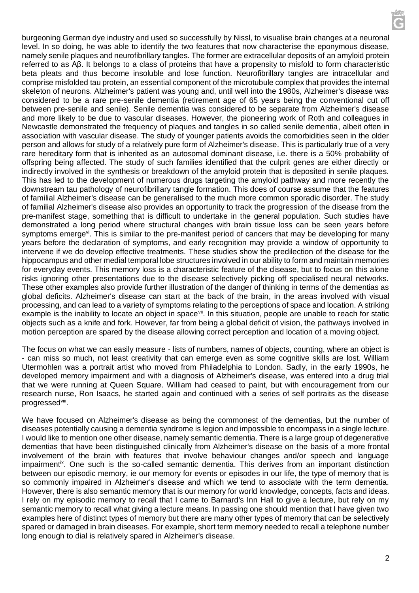burgeoning German dye industry and used so successfully by Nissl, to visualise brain changes at a neuronal level. In so doing, he was able to identify the two features that now characterise the eponymous disease, namely senile plaques and neurofibrillary tangles. The former are extracellular deposits of an amyloid protein referred to as Aβ. It belongs to a class of proteins that have a propensity to misfold to form characteristic beta pleats and thus become insoluble and lose function. Neurofibrillary tangles are intracellular and comprise misfolded tau protein, an essential component of the microtubule complex that provides the internal skeleton of neurons. Alzheimer's patient was young and, until well into the 1980s, Alzheimer's disease was considered to be a rare pre-senile dementia (retirement age of 65 years being the conventional cut off between pre-senile and senile). Senile dementia was considered to be separate from Alzheimer's disease and more likely to be due to vascular diseases. However, the pioneering work of Roth and colleagues in Newcastle demonstrated the frequency of plaques and tangles in so called senile dementia, albeit often in association with vascular disease. The study of younger patients avoids the comorbidities seen in the older person and allows for study of a relatively pure form of Alzheimer's disease. This is particularly true of a very rare hereditary form that is inherited as an autosomal dominant disease, i.e. there is a 50% probability of offspring being affected. The study of such families identified that the culprit genes are either directly or indirectly involved in the synthesis or breakdown of the amyloid protein that is deposited in senile plaques. This has led to the development of numerous drugs targeting the amyloid pathway and more recently the downstream tau pathology of neurofibrillary tangle formation. This does of course assume that the features of familial Alzheimer's disease can be generalised to the much more common sporadic disorder. The study of familial Alzheimer's disease also provides an opportunity to track the progression of the disease from the pre-manifest stage, something that is difficult to undertake in the general population. Such studies have demonstrated a long period where structural changes with brain tissue loss can be seen years before symptoms emerge<sup>vi</sup>. This is similar to the pre-manifest period of cancers that may be developing for many years before the declaration of symptoms, and early recognition may provide a window of opportunity to intervene if we do develop effective treatments. These studies show the predilection of the disease for the hippocampus and other medial temporal lobe structures involved in our ability to form and maintain memories for everyday events. This memory loss is a characteristic feature of the disease, but to focus on this alone risks ignoring other presentations due to the disease selectively picking off specialised neural networks. These other examples also provide further illustration of the danger of thinking in terms of the dementias as global deficits. Alzheimer's disease can start at the back of the brain, in the areas involved with visual processing, and can lead to a variety of symptoms relating to the perceptions of space and location. A striking example is the inability to locate an object in space<sup>vii</sup>. In this situation, people are unable to reach for static objects such as a knife and fork. However, far from being a global deficit of vision, the pathways involved in motion perception are spared by the disease allowing correct perception and location of a moving object.

The focus on what we can easily measure - lists of numbers, names of objects, counting, where an object is - can miss so much, not least creativity that can emerge even as some cognitive skills are lost. William Utermohlen was a portrait artist who moved from Philadelphia to London. Sadly, in the early 1990s, he developed memory impairment and with a diagnosis of Alzheimer's disease, was entered into a drug trial that we were running at Queen Square. William had ceased to paint, but with encouragement from our research nurse, Ron Isaacs, he started again and continued with a series of self portraits as the disease progressed<sup>viii</sup>.

We have focused on Alzheimer's disease as being the commonest of the dementias, but the number of diseases potentially causing a dementia syndrome is legion and impossible to encompass in a single lecture. I would like to mention one other disease, namely semantic dementia. There is a large group of degenerative dementias that have been distinguished clinically from Alzheimer's disease on the basis of a more frontal involvement of the brain with features that involve behaviour changes and/or speech and language impairment<sup>ix</sup>. One such is the so-called semantic dementia. This derives from an important distinction between our episodic memory, ie our memory for events or episodes in our life, the type of memory that is so commonly impaired in Alzheimer's disease and which we tend to associate with the term dementia. However, there is also semantic memory that is our memory for world knowledge, concepts, facts and ideas. I rely on my episodic memory to recall that I came to Barnard's Inn Hall to give a lecture, but rely on my semantic memory to recall what giving a lecture means. In passing one should mention that I have given two examples here of distinct types of memory but there are many other types of memory that can be selectively spared or damaged in brain diseases. For example, short term memory needed to recall a telephone number long enough to dial is relatively spared in Alzheimer's disease.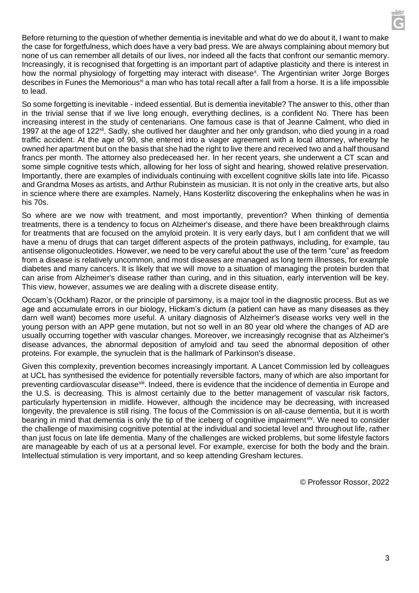Before returning to the question of whether dementia is inevitable and what do we do about it, I want to make the case for forgetfulness, which does have a very bad press. We are always complaining about memory but none of us can remember all details of our lives, nor indeed all the facts that confront our semantic memory. Increasingly, it is recognised that forgetting is an important part of adaptive plasticity and there is interest in how the normal physiology of forgetting may interact with disease<sup>x</sup>. The Argentinian writer Jorge Borges describes in Funes the Memorious<sup>xi</sup> a man who has total recall after a fall from a horse. It is a life impossible to lead.

So some forgetting is inevitable - indeed essential. But is dementia inevitable? The answer to this, other than in the trivial sense that if we live long enough, everything declines, is a confident No. There has been increasing interest in the study of centenarians. One famous case is that of Jeanne Calment, who died in 1997 at the age of 122<sup>xii</sup>. Sadly, she outlived her daughter and her only grandson, who died young in a road traffic accident. At the age of 90, she entered into a viager agreement with a local attorney, whereby he owned her apartment but on the basis that she had the right to live there and received two and a half thousand francs per month. The attorney also predeceased her. In her recent years, she underwent a CT scan and some simple cognitive tests which, allowing for her loss of sight and hearing, showed relative preservation. Importantly, there are examples of individuals continuing with excellent cognitive skills late into life. Picasso and Grandma Moses as artists, and Arthur Rubinstein as musician. It is not only in the creative arts, but also in science where there are examples. Namely, Hans Kosterlitz discovering the enkephalins when he was in his 70s.

So where are we now with treatment, and most importantly, prevention? When thinking of dementia treatments, there is a tendency to focus on Alzheimer's disease, and there have been breakthrough claims for treatments that are focused on the amyloid protein. It is very early days, but I am confident that we will have a menu of drugs that can target different aspects of the protein pathways, including, for example, tau antisense oligonucleotides. However, we need to be very careful about the use of the term "cure" as freedom from a disease is relatively uncommon, and most diseases are managed as long term illnesses, for example diabetes and many cancers. It is likely that we will move to a situation of managing the protein burden that can arise from Alzheimer's disease rather than curing, and in this situation, early intervention will be key. This view, however, assumes we are dealing with a discrete disease entity.

Occam's (Ockham) Razor, or the principle of parsimony, is a major tool in the diagnostic process. But as we age and accumulate errors in our biology, Hickam's dictum (a patient can have as many diseases as they darn well want) becomes more useful. A unitary diagnosis of Alzheimer's disease works very well in the young person with an APP gene mutation, but not so well in an 80 year old where the changes of AD are usually occurring together with vascular changes. Moreover, we increasingly recognise that as Alzheimer's disease advances, the abnormal deposition of amyloid and tau seed the abnormal deposition of other proteins. For example, the synuclein that is the hallmark of Parkinson's disease.

Given this complexity, prevention becomes increasingly important. A Lancet Commission led by colleagues at UCL has synthesised the evidence for potentially reversible factors, many of which are also important for preventing cardiovascular disease<sup>xiii</sup>. Indeed, there is evidence that the incidence of dementia in Europe and the U.S. is decreasing. This is almost certainly due to the better management of vascular risk factors, particularly hypertension in midlife. However, although the incidence may be decreasing, with increased longevity, the prevalence is still rising. The focus of the Commission is on all-cause dementia, but it is worth bearing in mind that dementia is only the tip of the iceberg of cognitive impairment<sup>xiv</sup>. We need to consider the challenge of maximising cognitive potential at the individual and societal level and throughout life, rather than just focus on late life dementia. Many of the challenges are wicked problems, but some lifestyle factors are manageable by each of us at a personal level. For example, exercise for both the body and the brain. Intellectual stimulation is very important, and so keep attending Gresham lectures.

© Professor Rossor, 2022